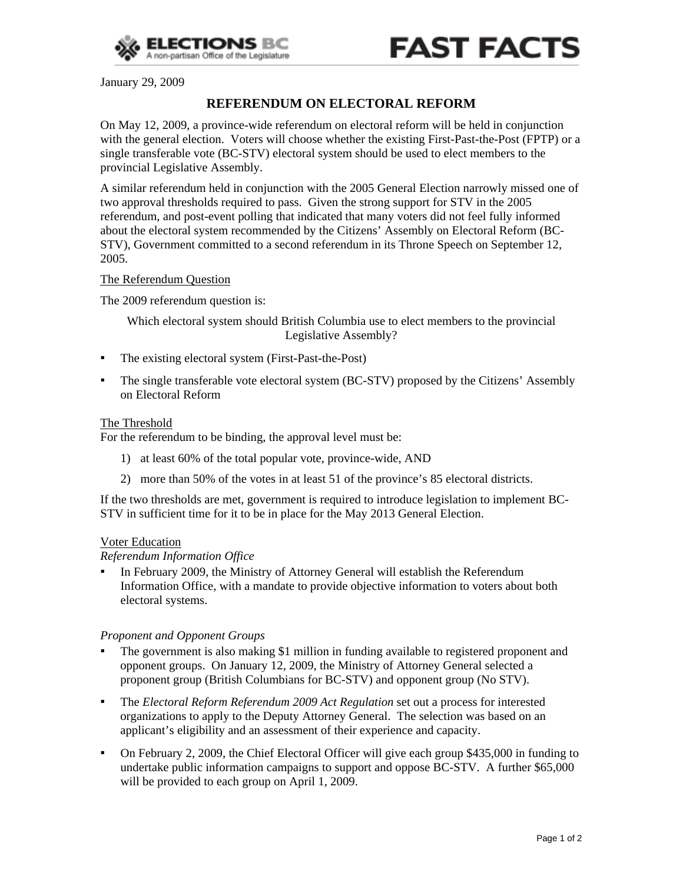

January 29, 2009

# **REFERENDUM ON ELECTORAL REFORM**

On May 12, 2009, a province-wide referendum on electoral reform will be held in conjunction with the general election. Voters will choose whether the existing First-Past-the-Post (FPTP) or a single transferable vote (BC-STV) electoral system should be used to elect members to the provincial Legislative Assembly.

A similar referendum held in conjunction with the 2005 General Election narrowly missed one of two approval thresholds required to pass. Given the strong support for STV in the 2005 referendum, and post-event polling that indicated that many voters did not feel fully informed about the electoral system recommended by the Citizens' Assembly on Electoral Reform (BC-STV), Government committed to a second referendum in its Throne Speech on September 12, 2005.

### The Referendum Question

The 2009 referendum question is:

Which electoral system should British Columbia use to elect members to the provincial Legislative Assembly?

- The existing electoral system (First-Past-the-Post)
- **•** The single transferable vote electoral system (BC-STV) proposed by the Citizens' Assembly on Electoral Reform

#### The Threshold

For the referendum to be binding, the approval level must be:

- 1) at least 60% of the total popular vote, province-wide, AND
- 2) more than 50% of the votes in at least 51 of the province's 85 electoral districts.

If the two thresholds are met, government is required to introduce legislation to implement BC-STV in sufficient time for it to be in place for the May 2013 General Election.

#### Voter Education

#### *Referendum Information Office*

▪ In February 2009, the Ministry of Attorney General will establish the Referendum Information Office, with a mandate to provide objective information to voters about both electoral systems.

#### *Proponent and Opponent Groups*

- The government is also making \$1 million in funding available to registered proponent and opponent groups. On January 12, 2009, the Ministry of Attorney General selected a proponent group (British Columbians for BC-STV) and opponent group (No STV).
- The *Electoral Reform Referendum 2009 Act Regulation* set out a process for interested organizations to apply to the Deputy Attorney General. The selection was based on an applicant's eligibility and an assessment of their experience and capacity.
- On February 2, 2009, the Chief Electoral Officer will give each group \$435,000 in funding to undertake public information campaigns to support and oppose BC-STV. A further \$65,000 will be provided to each group on April 1, 2009.